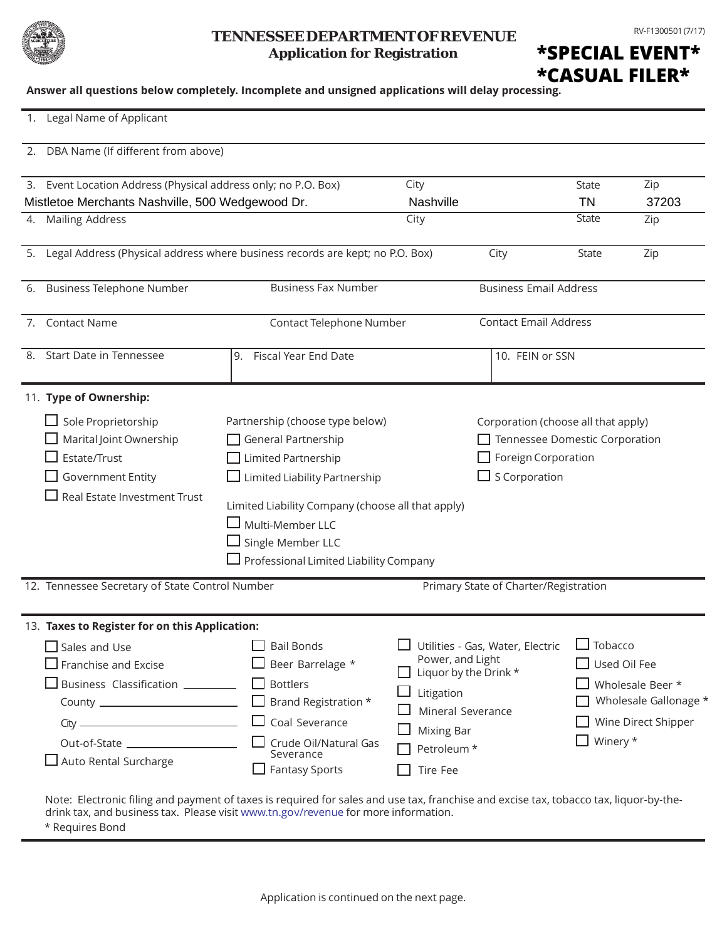

## **Application for Registration TENNESSEE DEPARTMENT OF REVENUE** RV-F1300501 (7/17)

**\*SPECIAL EVENT\* \*CASUAL FILER\***

**Answer all questions below completely. Incomplete and unsigned applications will delay processing.**

| 1. Legal Name of Applicant                                                                                                                                                           |                                                                                                                                                                                                                                                                             |                                                                                                                      |                                                                                |                            |                                                                                  |
|--------------------------------------------------------------------------------------------------------------------------------------------------------------------------------------|-----------------------------------------------------------------------------------------------------------------------------------------------------------------------------------------------------------------------------------------------------------------------------|----------------------------------------------------------------------------------------------------------------------|--------------------------------------------------------------------------------|----------------------------|----------------------------------------------------------------------------------|
| 2. DBA Name (If different from above)                                                                                                                                                |                                                                                                                                                                                                                                                                             |                                                                                                                      |                                                                                |                            |                                                                                  |
| 3. Event Location Address (Physical address only; no P.O. Box)<br>Mistletoe Merchants Nashville, 500 Wedgewood Dr.                                                                   |                                                                                                                                                                                                                                                                             | City<br>Nashville                                                                                                    |                                                                                | <b>State</b><br>TN         | Zip<br>37203                                                                     |
| <b>Mailing Address</b><br>4.                                                                                                                                                         |                                                                                                                                                                                                                                                                             | City                                                                                                                 |                                                                                | <b>State</b>               | Zip                                                                              |
| 5. Legal Address (Physical address where business records are kept; no P.O. Box)                                                                                                     |                                                                                                                                                                                                                                                                             |                                                                                                                      | City                                                                           | <b>State</b>               | Zip                                                                              |
| 6. Business Telephone Number                                                                                                                                                         | <b>Business Fax Number</b>                                                                                                                                                                                                                                                  |                                                                                                                      | <b>Business Email Address</b>                                                  |                            |                                                                                  |
| <b>Contact Name</b><br>7.                                                                                                                                                            | Contact Telephone Number                                                                                                                                                                                                                                                    |                                                                                                                      | <b>Contact Email Address</b>                                                   |                            |                                                                                  |
| 8. Start Date in Tennessee                                                                                                                                                           | Fiscal Year End Date<br>9.                                                                                                                                                                                                                                                  | 10. FEIN or SSN                                                                                                      |                                                                                |                            |                                                                                  |
| 11. Type of Ownership:                                                                                                                                                               |                                                                                                                                                                                                                                                                             |                                                                                                                      |                                                                                |                            |                                                                                  |
| $\Box$ Sole Proprietorship<br>Marital Joint Ownership<br>Estate/Trust<br><b>Government Entity</b><br>Real Estate Investment Trust                                                    | Partnership (choose type below)<br>General Partnership<br>Limited Partnership<br>$\Box$ Limited Liability Partnership<br>Limited Liability Company (choose all that apply)<br>$\Box$ Multi-Member LLC<br>Single Member LLC<br>$\Box$ Professional Limited Liability Company | Corporation (choose all that apply)<br>Tennessee Domestic Corporation<br>Foreign Corporation<br>$\Box$ S Corporation |                                                                                |                            |                                                                                  |
| 12. Tennessee Secretary of State Control Number                                                                                                                                      |                                                                                                                                                                                                                                                                             |                                                                                                                      | Primary State of Charter/Registration                                          |                            |                                                                                  |
| 13. Taxes to Register for on this Application:<br>$\square$ Sales and Use<br>$\square$ Franchise and Excise<br>$\Box$ Business Classification $\_\_$<br>$\Box$ Auto Rental Surcharge | <b>Bail Bonds</b><br>Beer Barrelage *<br><b>Bottlers</b><br>Brand Registration *<br>Coal Severance<br>Crude Oil/Natural Gas<br>Severance<br><b>Fantasy Sports</b>                                                                                                           | Power, and Light<br>Litigation<br><b>Mixing Bar</b><br>Petroleum *<br>Tire Fee                                       | Utilities - Gas, Water, Electric<br>Liquor by the Drink *<br>Mineral Severance | $\Box$ Tobacco<br>Winery * | Used Oil Fee<br>Wholesale Beer *<br>Wholesale Gallonage *<br>Wine Direct Shipper |

\* Requires Bond